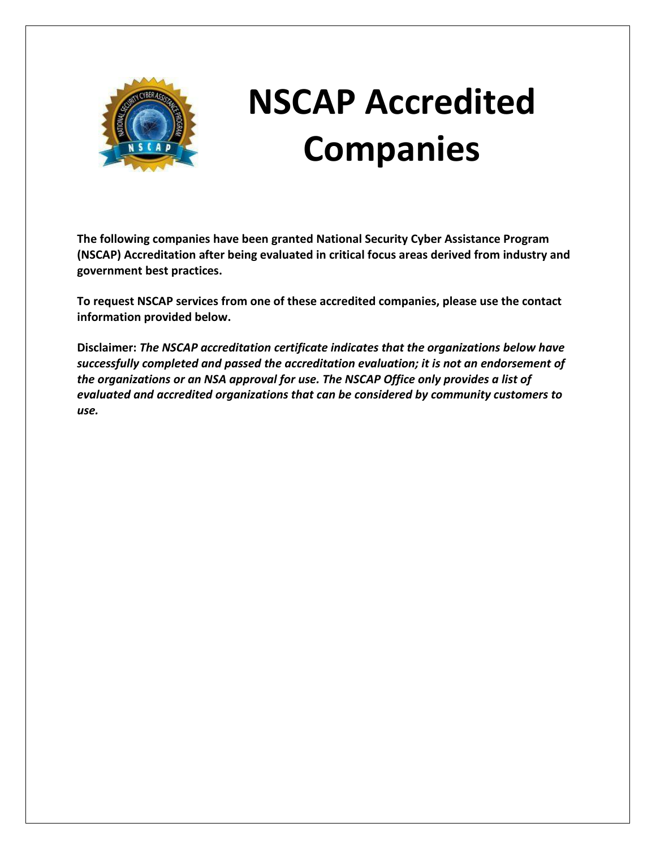

## **NSCAP Accredited Companies**

**The following companies have been granted National Security Cyber Assistance Program (NSCAP) Accreditation after being evaluated in critical focus areas derived from industry and government best practices.**

**To request NSCAP services from one of these accredited companies, please use the contact information provided below.**

**Disclaimer:** *The NSCAP accreditation certificate indicates that the organizations below have successfully completed and passed the accreditation evaluation; it is not an endorsement of the organizations or an NSA approval for use. The NSCAP Office only provides a list of evaluated and accredited organizations that can be considered by community customers to use.*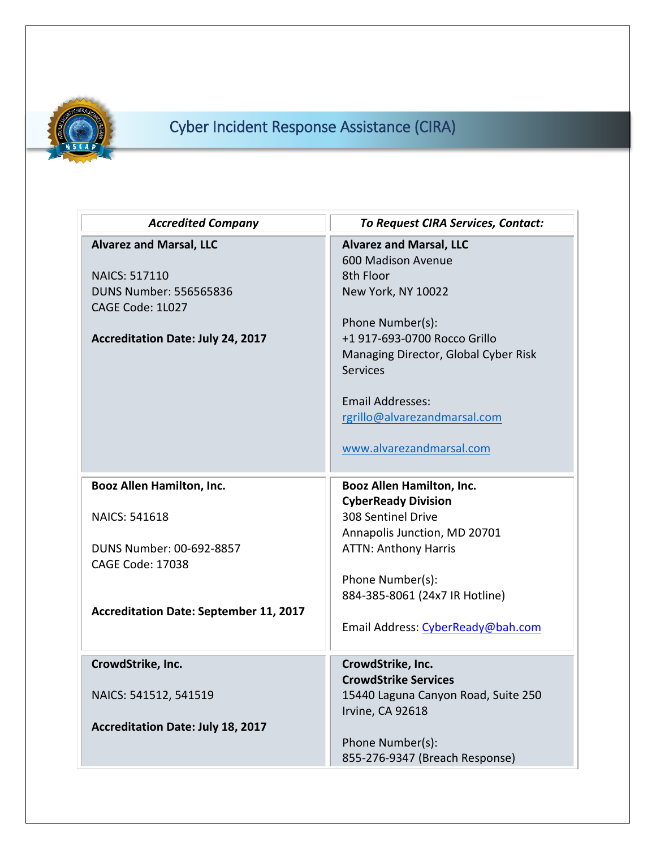

## Cyber Incident Response Assistance (CIRA)

| <b>Accredited Company</b>                                                                                                                               | <b>To Request CIRA Services, Contact:</b>                                                                                                                                                                                                                                              |
|---------------------------------------------------------------------------------------------------------------------------------------------------------|----------------------------------------------------------------------------------------------------------------------------------------------------------------------------------------------------------------------------------------------------------------------------------------|
| <b>Alvarez and Marsal, LLC</b><br><b>NAICS: 517110</b><br><b>DUNS Number: 556565836</b><br>CAGE Code: 1L027<br><b>Accreditation Date: July 24, 2017</b> | <b>Alvarez and Marsal, LLC</b><br>600 Madison Avenue<br>8th Floor<br>New York, NY 10022<br>Phone Number(s):<br>+1 917-693-0700 Rocco Grillo<br>Managing Director, Global Cyber Risk<br>Services<br><b>Email Addresses:</b><br>rgrillo@alvarezandmarsal.com<br>www.alvarezandmarsal.com |
| <b>Booz Allen Hamilton, Inc.</b>                                                                                                                        | <b>Booz Allen Hamilton, Inc.</b>                                                                                                                                                                                                                                                       |
| <b>NAICS: 541618</b><br>DUNS Number: 00-692-8857                                                                                                        | <b>CyberReady Division</b><br>308 Sentinel Drive<br>Annapolis Junction, MD 20701<br><b>ATTN: Anthony Harris</b>                                                                                                                                                                        |
| <b>CAGE Code: 17038</b>                                                                                                                                 |                                                                                                                                                                                                                                                                                        |
|                                                                                                                                                         | Phone Number(s):<br>884-385-8061 (24x7 IR Hotline)                                                                                                                                                                                                                                     |
| <b>Accreditation Date: September 11, 2017</b>                                                                                                           | Email Address: CyberReady@bah.com                                                                                                                                                                                                                                                      |
| CrowdStrike, Inc.                                                                                                                                       | CrowdStrike, Inc.                                                                                                                                                                                                                                                                      |
| NAICS: 541512, 541519<br><b>Accreditation Date: July 18, 2017</b>                                                                                       | <b>CrowdStrike Services</b><br>15440 Laguna Canyon Road, Suite 250<br>Irvine, CA 92618                                                                                                                                                                                                 |
|                                                                                                                                                         | Phone Number(s):<br>855-276-9347 (Breach Response)                                                                                                                                                                                                                                     |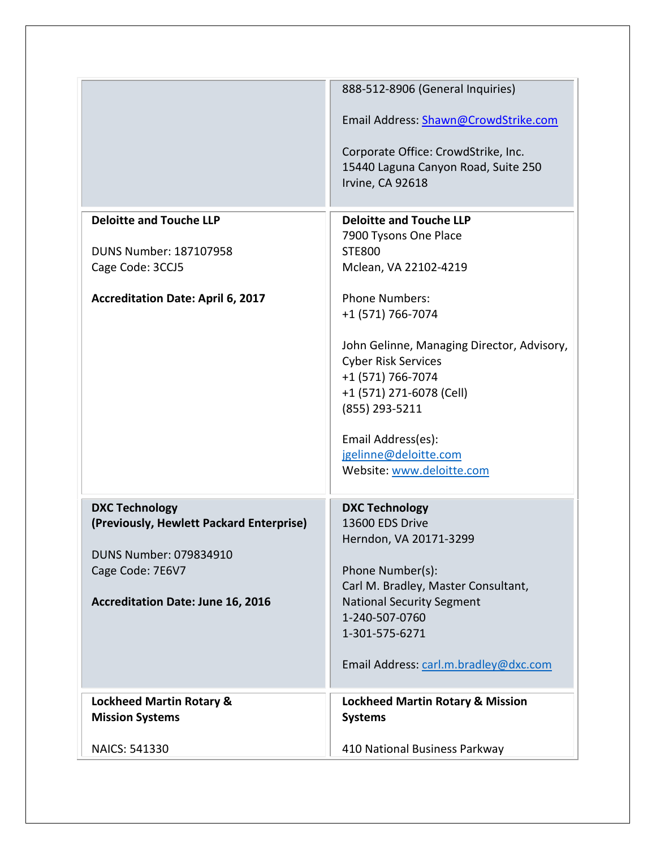|                                          | 888-512-8906 (General Inquiries)                                           |
|------------------------------------------|----------------------------------------------------------------------------|
|                                          | Email Address: Shawn@CrowdStrike.com                                       |
|                                          |                                                                            |
|                                          | Corporate Office: CrowdStrike, Inc.<br>15440 Laguna Canyon Road, Suite 250 |
|                                          | Irvine, CA 92618                                                           |
|                                          |                                                                            |
| <b>Deloitte and Touche LLP</b>           | <b>Deloitte and Touche LLP</b>                                             |
|                                          | 7900 Tysons One Place                                                      |
| DUNS Number: 187107958                   | <b>STE800</b>                                                              |
| Cage Code: 3CCJ5                         | Mclean, VA 22102-4219                                                      |
| <b>Accreditation Date: April 6, 2017</b> | <b>Phone Numbers:</b>                                                      |
|                                          | +1 (571) 766-7074                                                          |
|                                          |                                                                            |
|                                          | John Gelinne, Managing Director, Advisory,                                 |
|                                          | <b>Cyber Risk Services</b><br>+1 (571) 766-7074                            |
|                                          | +1 (571) 271-6078 (Cell)                                                   |
|                                          | (855) 293-5211                                                             |
|                                          |                                                                            |
|                                          | Email Address(es):                                                         |
|                                          | jgeljnne@deloitte.com<br>Website: www.deloitte.com                         |
|                                          |                                                                            |
| <b>DXC Technology</b>                    | <b>DXC Technology</b>                                                      |
| (Previously, Hewlett Packard Enterprise) | 13600 EDS Drive                                                            |
|                                          | Herndon, VA 20171-3299                                                     |
| DUNS Number: 079834910                   |                                                                            |
| Cage Code: 7E6V7                         | Phone Number(s):                                                           |
| <b>Accreditation Date: June 16, 2016</b> | Carl M. Bradley, Master Consultant,<br><b>National Security Segment</b>    |
|                                          | 1-240-507-0760                                                             |
|                                          | 1-301-575-6271                                                             |
|                                          |                                                                            |
|                                          | Email Address: carl.m.bradley@dxc.com                                      |
| <b>Lockheed Martin Rotary &amp;</b>      | <b>Lockheed Martin Rotary &amp; Mission</b>                                |
| <b>Mission Systems</b>                   | <b>Systems</b>                                                             |
| NAICS: 541330                            | 410 National Business Parkway                                              |
|                                          |                                                                            |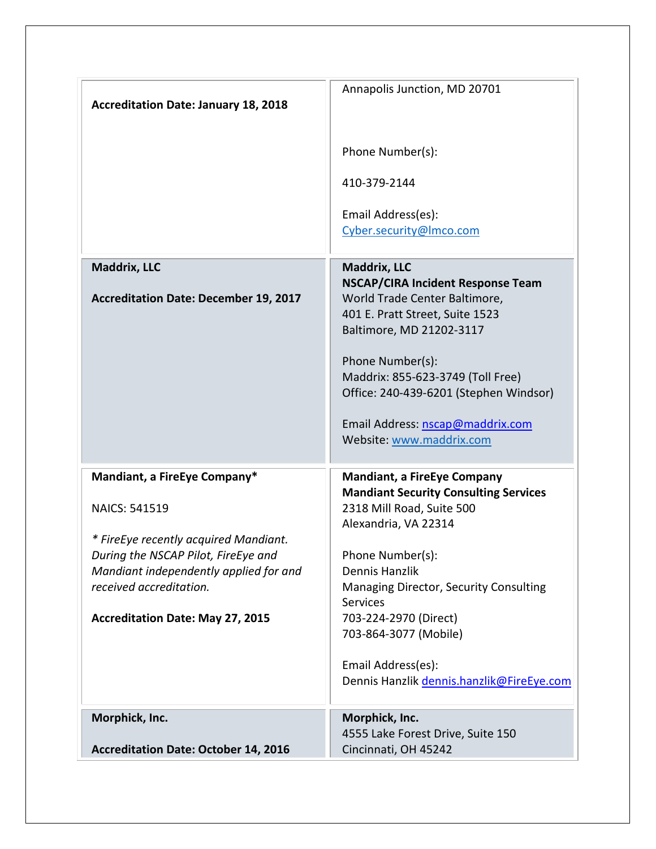|                                                                               | Annapolis Junction, MD 20701                                              |
|-------------------------------------------------------------------------------|---------------------------------------------------------------------------|
| <b>Accreditation Date: January 18, 2018</b>                                   |                                                                           |
|                                                                               |                                                                           |
|                                                                               |                                                                           |
|                                                                               | Phone Number(s):                                                          |
|                                                                               |                                                                           |
|                                                                               | 410-379-2144                                                              |
|                                                                               |                                                                           |
|                                                                               | Email Address(es):                                                        |
|                                                                               | Cyber.security@Imco.com                                                   |
|                                                                               |                                                                           |
| Maddrix, LLC                                                                  | Maddrix, LLC                                                              |
| <b>Accreditation Date: December 19, 2017</b>                                  | <b>NSCAP/CIRA Incident Response Team</b><br>World Trade Center Baltimore, |
|                                                                               | 401 E. Pratt Street, Suite 1523                                           |
|                                                                               | Baltimore, MD 21202-3117                                                  |
|                                                                               |                                                                           |
|                                                                               | Phone Number(s):                                                          |
|                                                                               | Maddrix: 855-623-3749 (Toll Free)                                         |
|                                                                               | Office: 240-439-6201 (Stephen Windsor)                                    |
|                                                                               |                                                                           |
|                                                                               | Email Address: nscap@maddrix.com                                          |
|                                                                               | Website: www.maddrix.com                                                  |
|                                                                               |                                                                           |
| Mandiant, a FireEye Company*                                                  | <b>Mandiant, a FireEye Company</b>                                        |
|                                                                               | <b>Mandiant Security Consulting Services</b>                              |
| <b>NAICS: 541519</b>                                                          | 2318 Mill Road, Suite 500                                                 |
|                                                                               | Alexandria, VA 22314                                                      |
| * FireEye recently acquired Mandiant.                                         |                                                                           |
| During the NSCAP Pilot, FireEye and<br>Mandiant independently applied for and | Phone Number(s):<br>Dennis Hanzlik                                        |
| received accreditation.                                                       | Managing Director, Security Consulting                                    |
|                                                                               | <b>Services</b>                                                           |
| <b>Accreditation Date: May 27, 2015</b>                                       | 703-224-2970 (Direct)                                                     |
|                                                                               | 703-864-3077 (Mobile)                                                     |
|                                                                               |                                                                           |
|                                                                               | Email Address(es):                                                        |
|                                                                               | Dennis Hanzlik dennis.hanzlik@FireEye.com                                 |
|                                                                               |                                                                           |
| Morphick, Inc.                                                                | Morphick, Inc.                                                            |
|                                                                               | 4555 Lake Forest Drive, Suite 150                                         |
| <b>Accreditation Date: October 14, 2016</b>                                   | Cincinnati, OH 45242                                                      |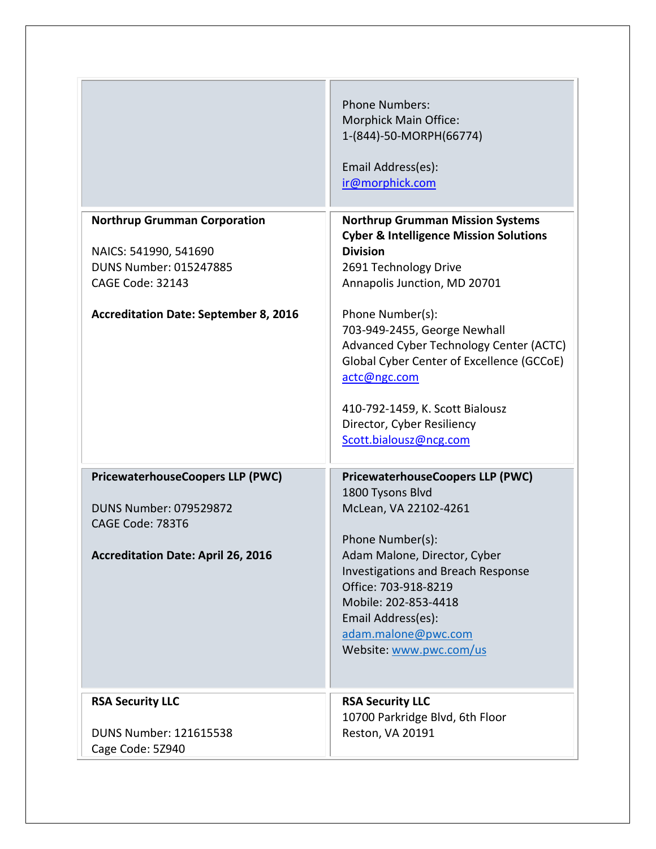|                                                                                                                                                            | <b>Phone Numbers:</b><br>Morphick Main Office:<br>1-(844)-50-MORPH(66774)<br>Email Address(es):<br>ir@morphick.com                                                                                                           |
|------------------------------------------------------------------------------------------------------------------------------------------------------------|------------------------------------------------------------------------------------------------------------------------------------------------------------------------------------------------------------------------------|
| <b>Northrup Grumman Corporation</b><br>NAICS: 541990, 541690<br>DUNS Number: 015247885<br>CAGE Code: 32143<br><b>Accreditation Date: September 8, 2016</b> | <b>Northrup Grumman Mission Systems</b><br><b>Cyber &amp; Intelligence Mission Solutions</b><br><b>Division</b><br>2691 Technology Drive<br>Annapolis Junction, MD 20701<br>Phone Number(s):<br>703-949-2455, George Newhall |
|                                                                                                                                                            | Advanced Cyber Technology Center (ACTC)<br>Global Cyber Center of Excellence (GCCoE)<br>actc@ngc.com<br>410-792-1459, K. Scott Bialousz<br>Director, Cyber Resiliency<br>Scott.bialousz@ncg.com                              |
| <b>PricewaterhouseCoopers LLP (PWC)</b><br><b>DUNS Number: 079529872</b><br>CAGE Code: 783T6                                                               | <b>PricewaterhouseCoopers LLP (PWC)</b><br>1800 Tysons Blvd<br>McLean, VA 22102-4261<br>Phone Number(s):                                                                                                                     |
| <b>Accreditation Date: April 26, 2016</b>                                                                                                                  | Adam Malone, Director, Cyber<br><b>Investigations and Breach Response</b><br>Office: 703-918-8219<br>Mobile: 202-853-4418<br>Email Address(es):<br>adam.malone@pwc.com<br>Website: www.pwc.com/us                            |
| <b>RSA Security LLC</b><br>DUNS Number: 121615538<br>Cage Code: 5Z940                                                                                      | <b>RSA Security LLC</b><br>10700 Parkridge Blvd, 6th Floor<br>Reston, VA 20191                                                                                                                                               |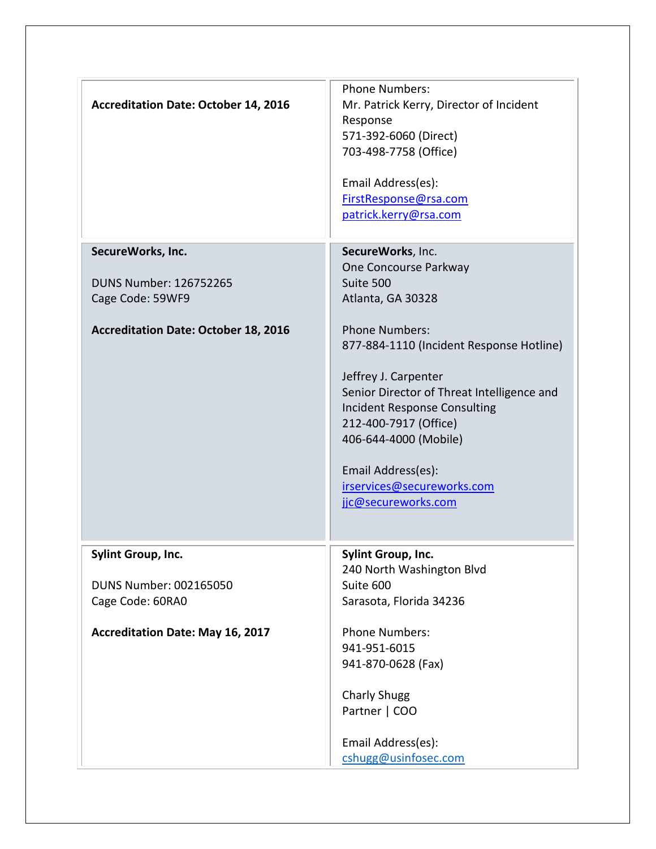| <b>Accreditation Date: October 14, 2016</b>                             | <b>Phone Numbers:</b><br>Mr. Patrick Kerry, Director of Incident<br>Response<br>571-392-6060 (Direct)<br>703-498-7758 (Office)<br>Email Address(es):<br>FirstResponse@rsa.com<br>patrick.kerry@rsa.com                                                                                                      |
|-------------------------------------------------------------------------|-------------------------------------------------------------------------------------------------------------------------------------------------------------------------------------------------------------------------------------------------------------------------------------------------------------|
| SecureWorks, Inc.<br><b>DUNS Number: 126752265</b><br>Cage Code: 59WF9  | SecureWorks, Inc.<br>One Concourse Parkway<br>Suite 500<br>Atlanta, GA 30328                                                                                                                                                                                                                                |
| <b>Accreditation Date: October 18, 2016</b>                             | <b>Phone Numbers:</b><br>877-884-1110 (Incident Response Hotline)<br>Jeffrey J. Carpenter<br>Senior Director of Threat Intelligence and<br><b>Incident Response Consulting</b><br>212-400-7917 (Office)<br>406-644-4000 (Mobile)<br>Email Address(es):<br>irservices@secureworks.com<br>jjc@secureworks.com |
| <b>Sylint Group, Inc.</b><br>DUNS Number: 002165050<br>Cage Code: 60RA0 | Sylint Group, Inc.<br>240 North Washington Blvd<br>Suite 600<br>Sarasota, Florida 34236                                                                                                                                                                                                                     |
| <b>Accreditation Date: May 16, 2017</b>                                 | <b>Phone Numbers:</b><br>941-951-6015<br>941-870-0628 (Fax)<br><b>Charly Shugg</b><br>Partner   COO<br>Email Address(es):<br>cshugg@usinfosec.com                                                                                                                                                           |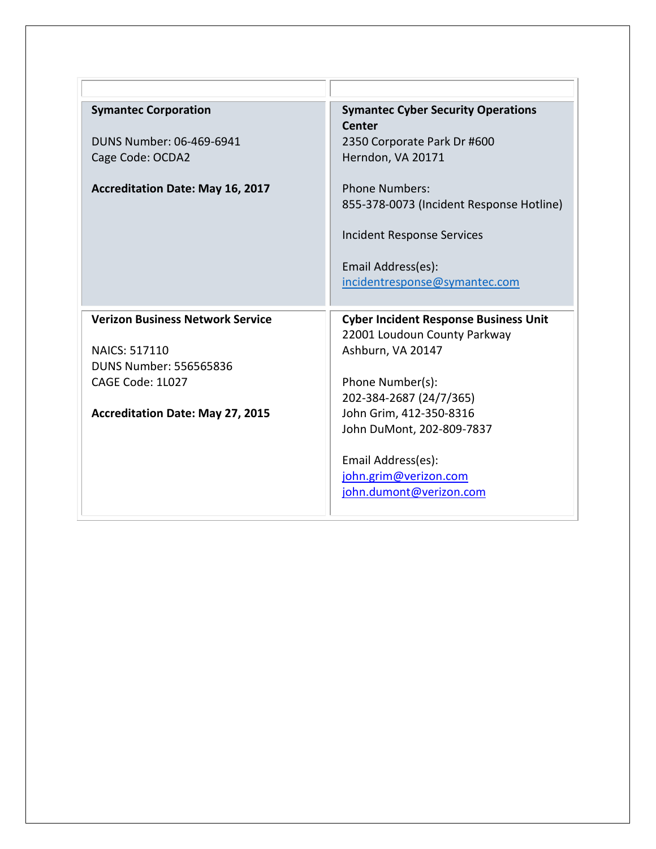| <b>Symantec Corporation</b>                           | <b>Symantec Cyber Security Operations</b><br><b>Center</b> |
|-------------------------------------------------------|------------------------------------------------------------|
| DUNS Number: 06-469-6941                              | 2350 Corporate Park Dr #600                                |
| Cage Code: OCDA2                                      | Herndon, VA 20171                                          |
| <b>Accreditation Date: May 16, 2017</b>               | <b>Phone Numbers:</b>                                      |
|                                                       | 855-378-0073 (Incident Response Hotline)                   |
|                                                       | Incident Response Services                                 |
|                                                       | Email Address(es):                                         |
|                                                       | incidentresponse@symantec.com                              |
|                                                       |                                                            |
| <b>Verizon Business Network Service</b>               | <b>Cyber Incident Response Business Unit</b>               |
|                                                       | 22001 Loudoun County Parkway                               |
| <b>NAICS: 517110</b><br><b>DUNS Number: 556565836</b> | Ashburn, VA 20147                                          |
| CAGE Code: 1L027                                      | Phone Number(s):                                           |
|                                                       | 202-384-2687 (24/7/365)                                    |
| <b>Accreditation Date: May 27, 2015</b>               | John Grim, 412-350-8316                                    |
|                                                       | John DuMont, 202-809-7837                                  |
|                                                       |                                                            |
|                                                       | Email Address(es):                                         |
|                                                       | john.grim@verizon.com<br>john.dumont@verizon.com           |
|                                                       |                                                            |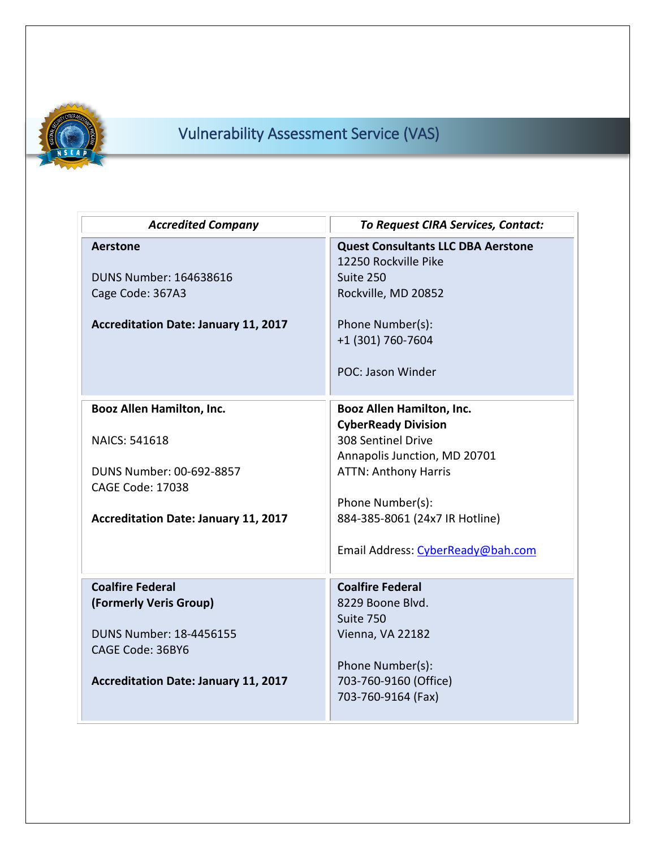

## Vulnerability Assessment Service (VAS)

| <b>Accredited Company</b>                   | <b>To Request CIRA Services, Contact:</b>                         |
|---------------------------------------------|-------------------------------------------------------------------|
| <b>Aerstone</b>                             | <b>Quest Consultants LLC DBA Aerstone</b><br>12250 Rockville Pike |
| DUNS Number: 164638616                      | Suite 250                                                         |
| Cage Code: 367A3                            | Rockville, MD 20852                                               |
| <b>Accreditation Date: January 11, 2017</b> | Phone Number(s):                                                  |
|                                             | +1 (301) 760-7604                                                 |
|                                             | POC: Jason Winder                                                 |
| <b>Booz Allen Hamilton, Inc.</b>            | Booz Allen Hamilton, Inc.                                         |
|                                             | <b>CyberReady Division</b>                                        |
| <b>NAICS: 541618</b>                        | 308 Sentinel Drive                                                |
| DUNS Number: 00-692-8857                    | Annapolis Junction, MD 20701<br><b>ATTN: Anthony Harris</b>       |
| <b>CAGE Code: 17038</b>                     |                                                                   |
|                                             | Phone Number(s):                                                  |
| Accreditation Date: January 11, 2017        | 884-385-8061 (24x7 IR Hotline)                                    |
|                                             | Email Address: CyberReady@bah.com                                 |
| <b>Coalfire Federal</b>                     | <b>Coalfire Federal</b>                                           |
| (Formerly Veris Group)                      | 8229 Boone Blvd.                                                  |
|                                             | Suite 750                                                         |
| DUNS Number: 18-4456155<br>CAGE Code: 36BY6 | Vienna, VA 22182                                                  |
|                                             | Phone Number(s):                                                  |
| <b>Accreditation Date: January 11, 2017</b> | 703-760-9160 (Office)                                             |
|                                             | 703-760-9164 (Fax)                                                |